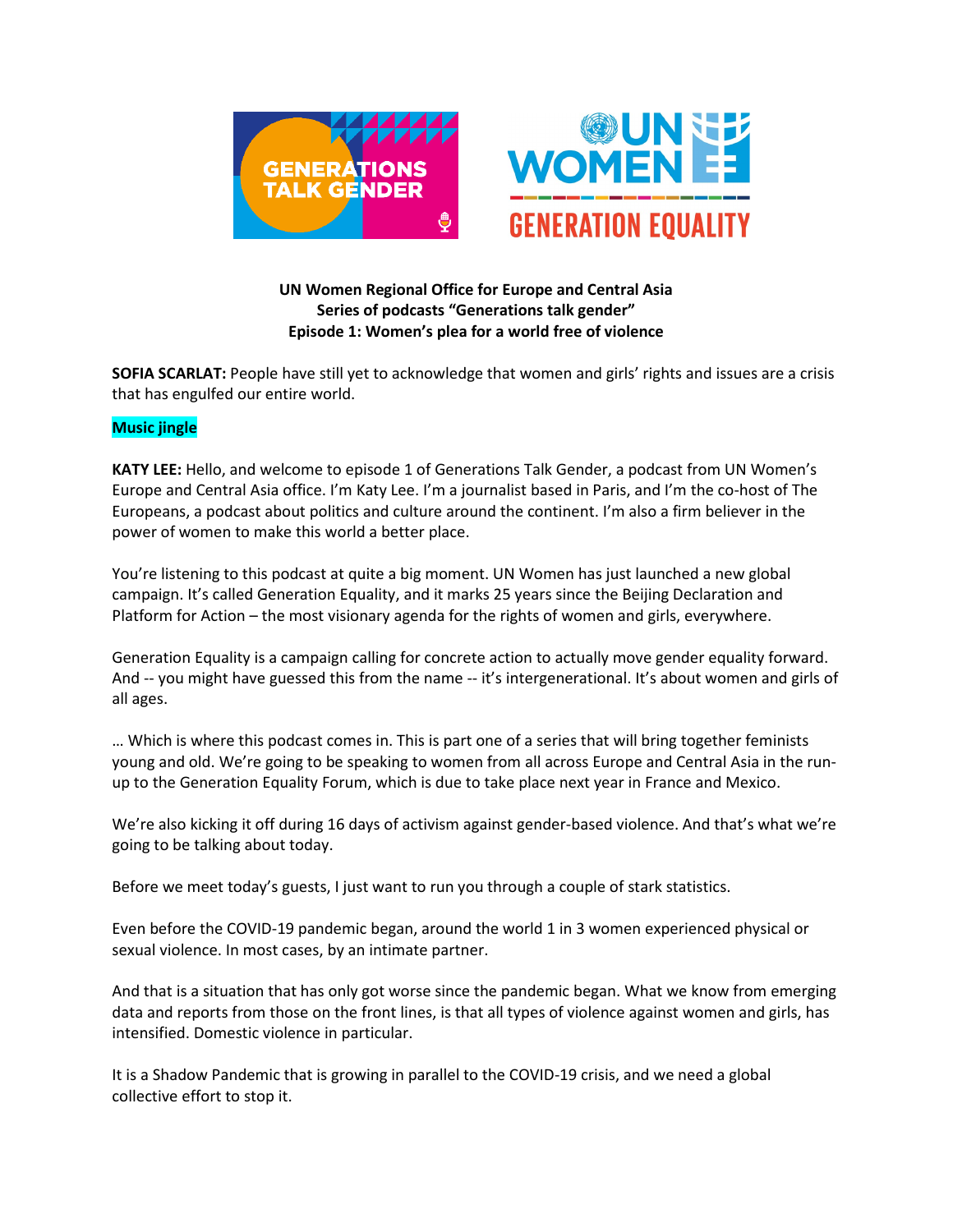

# **UN Women Regional Office for Europe and Central Asia Series of podcasts "Generations talk gender" Episode 1: Women's plea for a world free of violence**

**SOFIA SCARLAT:** People have still yet to acknowledge that women and girls' rights and issues are a crisis that has engulfed our entire world.

## **Music jingle**

**KATY LEE:** Hello, and welcome to episode 1 of Generations Talk Gender, a podcast from UN Women's Europe and Central Asia office. I'm Katy Lee. I'm a journalist based in Paris, and I'm the co-host of The Europeans, a podcast about politics and culture around the continent. I'm also a firm believer in the power of women to make this world a better place.

You're listening to this podcast at quite a big moment. UN Women has just launched a new global campaign. It's called Generation Equality, and it marks 25 years since the Beijing Declaration and Platform for Action – the most visionary agenda for the rights of women and girls, everywhere.

Generation Equality is a campaign calling for concrete action to actually move gender equality forward. And -- you might have guessed this from the name -- it's intergenerational. It's about women and girls of all ages.

… Which is where this podcast comes in. This is part one of a series that will bring together feminists young and old. We're going to be speaking to women from all across Europe and Central Asia in the runup to the Generation Equality Forum, which is due to take place next year in France and Mexico.

We're also kicking it off during 16 days of activism against gender-based violence. And that's what we're going to be talking about today.

Before we meet today's guests, I just want to run you through a couple of stark statistics.

Even before the COVID-19 pandemic began, around the world 1 in 3 women experienced physical or sexual violence. In most cases, by an intimate partner.

And that is a situation that has only got worse since the pandemic began. What we know from emerging data and reports from those on the front lines, is that all types of violence against women and girls, has intensified. Domestic violence in particular.

It is a Shadow Pandemic that is growing in parallel to the COVID-19 crisis, and we need a global collective effort to stop it.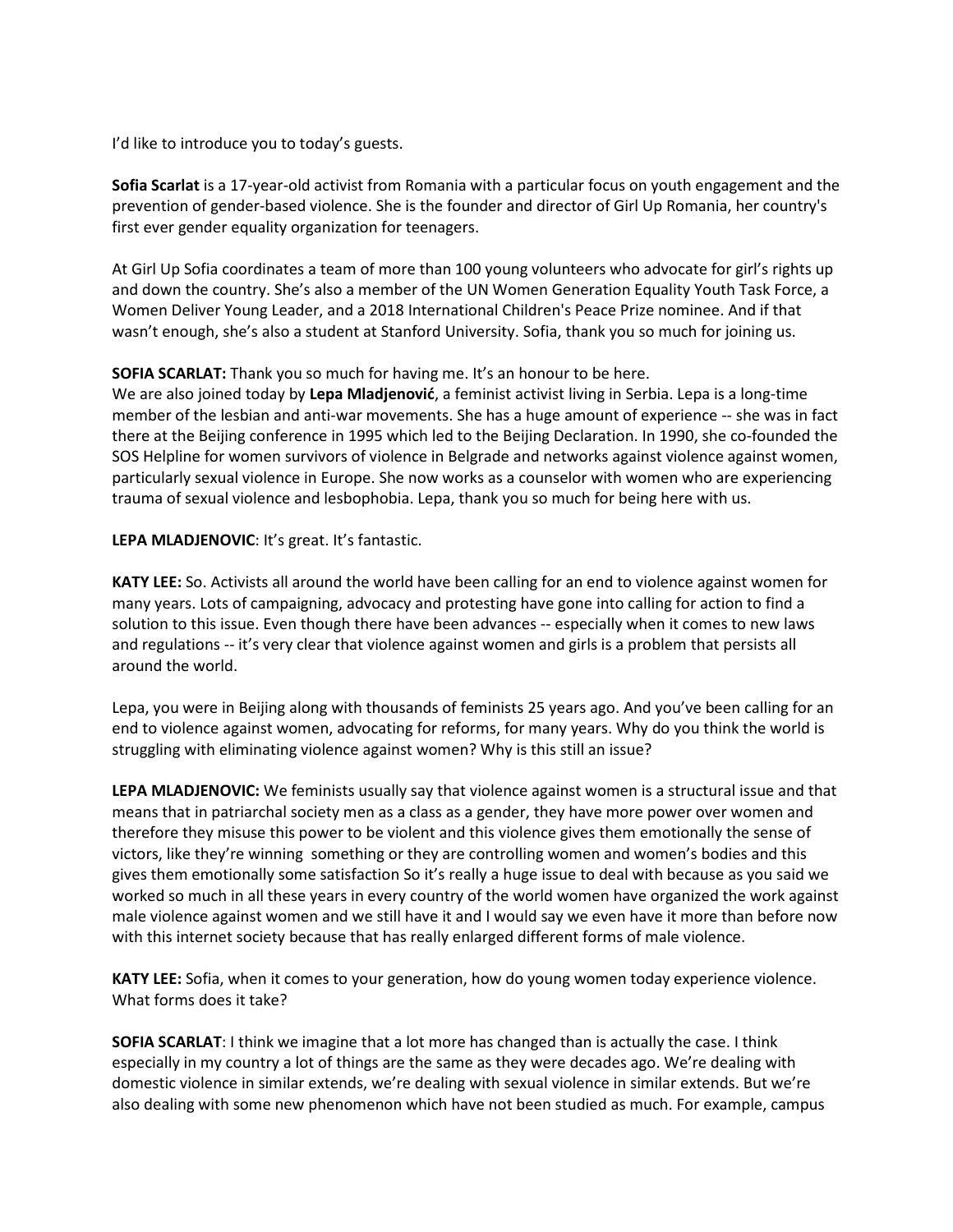I'd like to introduce you to today's guests.

**Sofia Scarlat** is a 17-year-old activist from Romania with a particular focus on youth engagement and the prevention of gender-based violence. She is the founder and director of Girl Up Romania, her country's first ever gender equality organization for teenagers.

At Girl Up Sofia coordinates a team of more than 100 young volunteers who advocate for girl's rights up and down the country. She's also a member of the UN Women Generation Equality Youth Task Force, a Women Deliver Young Leader, and a 2018 International Children's Peace Prize nominee. And if that wasn't enough, she's also a student at Stanford University. Sofia, thank you so much for joining us.

## **SOFIA SCARLAT:** Thank you so much for having me. It's an honour to be here.

We are also joined today by **Lepa Mladjenović**, a feminist activist living in Serbia. Lepa is a long-time member of the lesbian and anti-war movements. She has a huge amount of experience -- she was in fact there at the Beijing conference in 1995 which led to the Beijing Declaration. In 1990, she co-founded the SOS Helpline for women survivors of violence in Belgrade and networks against violence against women, particularly sexual violence in Europe. She now works as a counselor with women who are experiencing trauma of sexual violence and lesbophobia. Lepa, thank you so much for being here with us.

#### **LEPA MLADJENOVIC**: It's great. It's fantastic.

**KATY LEE:** So. Activists all around the world have been calling for an end to violence against women for many years. Lots of campaigning, advocacy and protesting have gone into calling for action to find a solution to this issue. Even though there have been advances -- especially when it comes to new laws and regulations -- it's very clear that violence against women and girls is a problem that persists all around the world.

Lepa, you were in Beijing along with thousands of feminists 25 years ago. And you've been calling for an end to violence against women, advocating for reforms, for many years. Why do you think the world is struggling with eliminating violence against women? Why is this still an issue?

**LEPA MLADJENOVIC:** We feminists usually say that violence against women is a structural issue and that means that in patriarchal society men as a class as a gender, they have more power over women and therefore they misuse this power to be violent and this violence gives them emotionally the sense of victors, like they're winning something or they are controlling women and women's bodies and this gives them emotionally some satisfaction So it's really a huge issue to deal with because as you said we worked so much in all these years in every country of the world women have organized the work against male violence against women and we still have it and I would say we even have it more than before now with this internet society because that has really enlarged different forms of male violence.

**KATY LEE:** Sofia, when it comes to your generation, how do young women today experience violence. What forms does it take?

**SOFIA SCARLAT**: I think we imagine that a lot more has changed than is actually the case. I think especially in my country a lot of things are the same as they were decades ago. We're dealing with domestic violence in similar extends, we're dealing with sexual violence in similar extends. But we're also dealing with some new phenomenon which have not been studied as much. For example, campus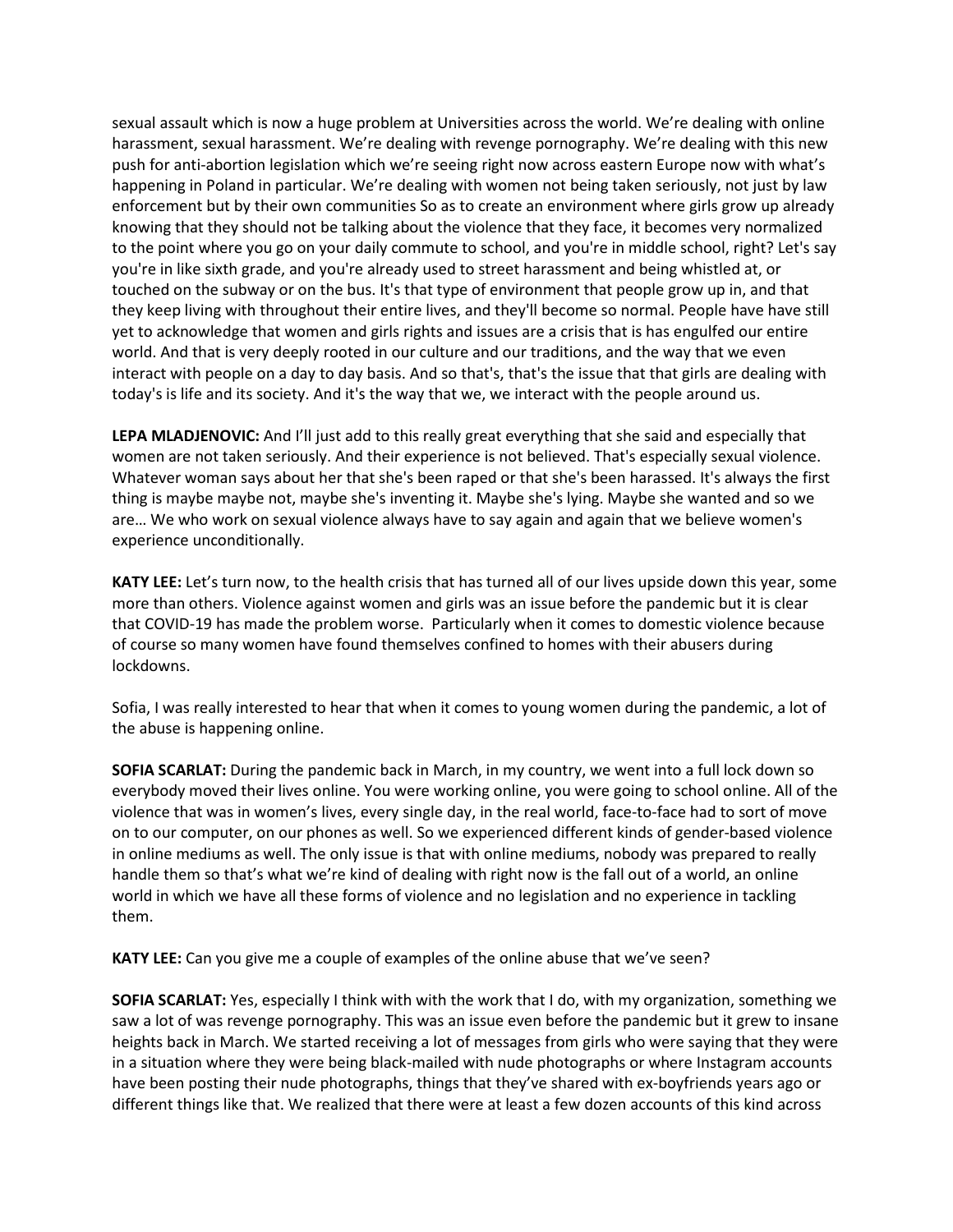sexual assault which is now a huge problem at Universities across the world. We're dealing with online harassment, sexual harassment. We're dealing with revenge pornography. We're dealing with this new push for anti-abortion legislation which we're seeing right now across eastern Europe now with what's happening in Poland in particular. We're dealing with women not being taken seriously, not just by law enforcement but by their own communities So as to create an environment where girls grow up already knowing that they should not be talking about the violence that they face, it becomes very normalized to the point where you go on your daily commute to school, and you're in middle school, right? Let's say you're in like sixth grade, and you're already used to street harassment and being whistled at, or touched on the subway or on the bus. It's that type of environment that people grow up in, and that they keep living with throughout their entire lives, and they'll become so normal. People have have still yet to acknowledge that women and girls rights and issues are a crisis that is has engulfed our entire world. And that is very deeply rooted in our culture and our traditions, and the way that we even interact with people on a day to day basis. And so that's, that's the issue that that girls are dealing with today's is life and its society. And it's the way that we, we interact with the people around us.

**LEPA MLADJENOVIC:** And I'll just add to this really great everything that she said and especially that women are not taken seriously. And their experience is not believed. That's especially sexual violence. Whatever woman says about her that she's been raped or that she's been harassed. It's always the first thing is maybe maybe not, maybe she's inventing it. Maybe she's lying. Maybe she wanted and so we are… We who work on sexual violence always have to say again and again that we believe women's experience unconditionally.

**KATY LEE:** Let's turn now, to the health crisis that has turned all of our lives upside down this year, some more than others. Violence against women and girls was an issue before the pandemic but it is clear that COVID-19 has made the problem worse. Particularly when it comes to domestic violence because of course so many women have found themselves confined to homes with their abusers during lockdowns.

Sofia, I was really interested to hear that when it comes to young women during the pandemic, a lot of the abuse is happening online.

**SOFIA SCARLAT:** During the pandemic back in March, in my country, we went into a full lock down so everybody moved their lives online. You were working online, you were going to school online. All of the violence that was in women's lives, every single day, in the real world, face-to-face had to sort of move on to our computer, on our phones as well. So we experienced different kinds of gender-based violence in online mediums as well. The only issue is that with online mediums, nobody was prepared to really handle them so that's what we're kind of dealing with right now is the fall out of a world, an online world in which we have all these forms of violence and no legislation and no experience in tackling them.

**KATY LEE:** Can you give me a couple of examples of the online abuse that we've seen?

**SOFIA SCARLAT:** Yes, especially I think with with the work that I do, with my organization, something we saw a lot of was revenge pornography. This was an issue even before the pandemic but it grew to insane heights back in March. We started receiving a lot of messages from girls who were saying that they were in a situation where they were being black-mailed with nude photographs or where Instagram accounts have been posting their nude photographs, things that they've shared with ex-boyfriends years ago or different things like that. We realized that there were at least a few dozen accounts of this kind across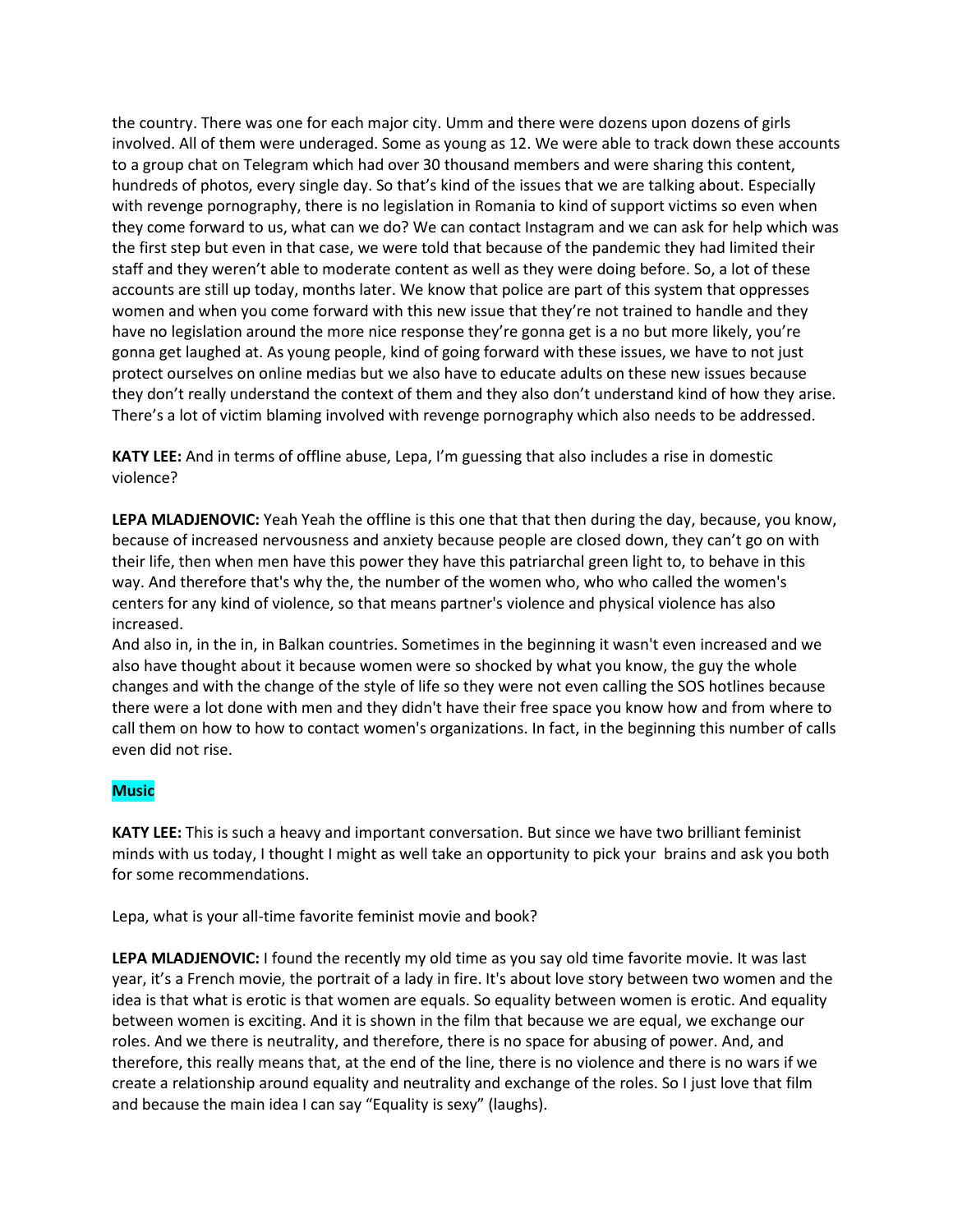the country. There was one for each major city. Umm and there were dozens upon dozens of girls involved. All of them were underaged. Some as young as 12. We were able to track down these accounts to a group chat on Telegram which had over 30 thousand members and were sharing this content, hundreds of photos, every single day. So that's kind of the issues that we are talking about. Especially with revenge pornography, there is no legislation in Romania to kind of support victims so even when they come forward to us, what can we do? We can contact Instagram and we can ask for help which was the first step but even in that case, we were told that because of the pandemic they had limited their staff and they weren't able to moderate content as well as they were doing before. So, a lot of these accounts are still up today, months later. We know that police are part of this system that oppresses women and when you come forward with this new issue that they're not trained to handle and they have no legislation around the more nice response they're gonna get is a no but more likely, you're gonna get laughed at. As young people, kind of going forward with these issues, we have to not just protect ourselves on online medias but we also have to educate adults on these new issues because they don't really understand the context of them and they also don't understand kind of how they arise. There's a lot of victim blaming involved with revenge pornography which also needs to be addressed.

**KATY LEE:** And in terms of offline abuse, Lepa, I'm guessing that also includes a rise in domestic violence?

**LEPA MLADJENOVIC:** Yeah Yeah the offline is this one that that then during the day, because, you know, because of increased nervousness and anxiety because people are closed down, they can't go on with their life, then when men have this power they have this patriarchal green light to, to behave in this way. And therefore that's why the, the number of the women who, who who called the women's centers for any kind of violence, so that means partner's violence and physical violence has also increased.

And also in, in the in, in Balkan countries. Sometimes in the beginning it wasn't even increased and we also have thought about it because women were so shocked by what you know, the guy the whole changes and with the change of the style of life so they were not even calling the SOS hotlines because there were a lot done with men and they didn't have their free space you know how and from where to call them on how to how to contact women's organizations. In fact, in the beginning this number of calls even did not rise.

## **Music**

**KATY LEE:** This is such a heavy and important conversation. But since we have two brilliant feminist minds with us today, I thought I might as well take an opportunity to pick your brains and ask you both for some recommendations.

Lepa, what is your all-time favorite feminist movie and book?

**LEPA MLADJENOVIC:** I found the recently my old time as you say old time favorite movie. It was last year, it's a French movie, the portrait of a lady in fire. It's about love story between two women and the idea is that what is erotic is that women are equals. So equality between women is erotic. And equality between women is exciting. And it is shown in the film that because we are equal, we exchange our roles. And we there is neutrality, and therefore, there is no space for abusing of power. And, and therefore, this really means that, at the end of the line, there is no violence and there is no wars if we create a relationship around equality and neutrality and exchange of the roles. So I just love that film and because the main idea I can say "Equality is sexy" (laughs).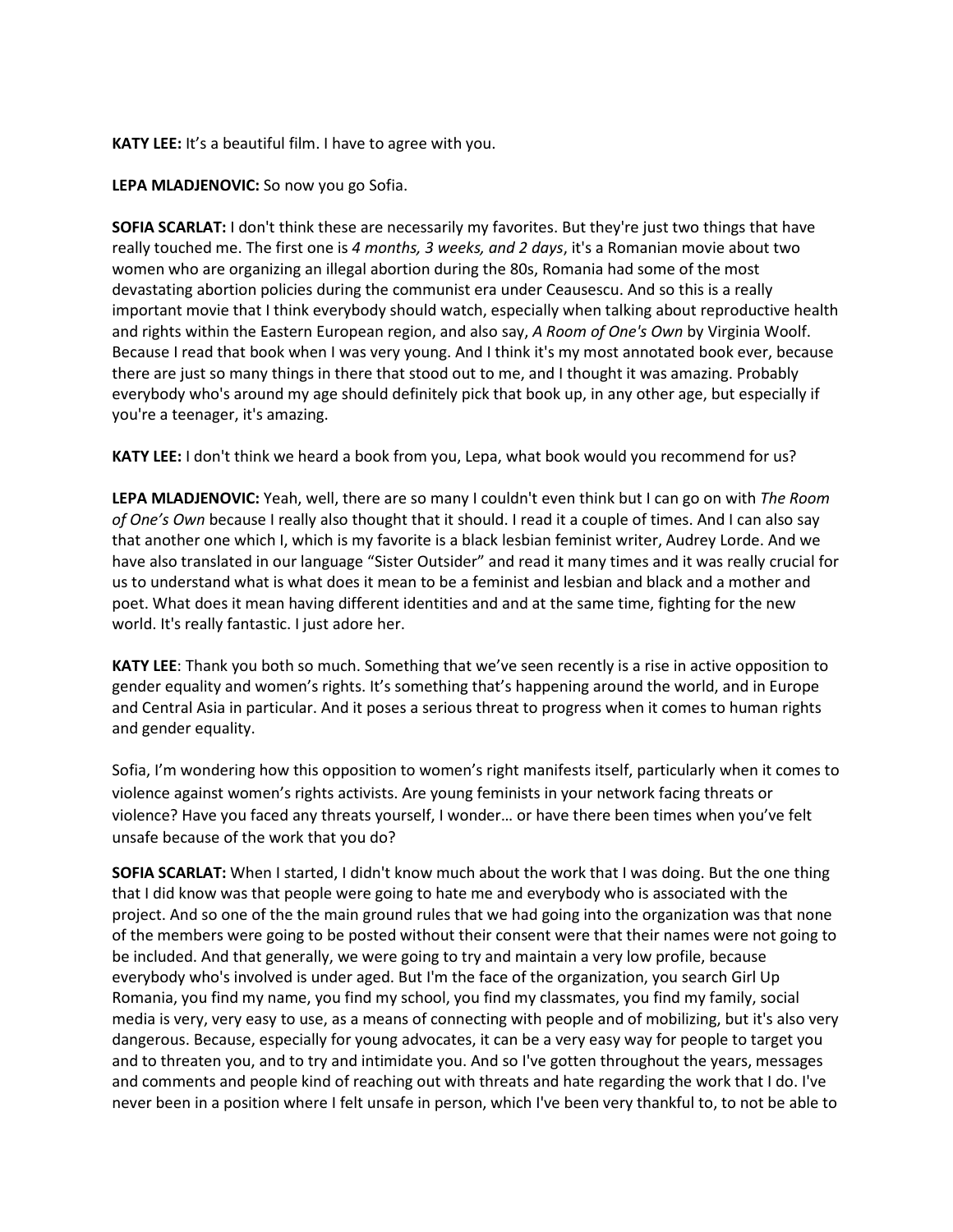#### **KATY LEE:** It's a beautiful film. I have to agree with you.

#### **LEPA MLADJENOVIC:** So now you go Sofia.

**SOFIA SCARLAT:** I don't think these are necessarily my favorites. But they're just two things that have really touched me. The first one is *4 months, 3 weeks, and 2 days*, it's a Romanian movie about two women who are organizing an illegal abortion during the 80s, Romania had some of the most devastating abortion policies during the communist era under Ceausescu. And so this is a really important movie that I think everybody should watch, especially when talking about reproductive health and rights within the Eastern European region, and also say, *A Room of One's Own* by Virginia Woolf. Because I read that book when I was very young. And I think it's my most annotated book ever, because there are just so many things in there that stood out to me, and I thought it was amazing. Probably everybody who's around my age should definitely pick that book up, in any other age, but especially if you're a teenager, it's amazing.

**KATY LEE:** I don't think we heard a book from you, Lepa, what book would you recommend for us?

**LEPA MLADJENOVIC:** Yeah, well, there are so many I couldn't even think but I can go on with *The Room of One's Own* because I really also thought that it should. I read it a couple of times. And I can also say that another one which I, which is my favorite is a black lesbian feminist writer, Audrey Lorde. And we have also translated in our language "Sister Outsider" and read it many times and it was really crucial for us to understand what is what does it mean to be a feminist and lesbian and black and a mother and poet. What does it mean having different identities and and at the same time, fighting for the new world. It's really fantastic. I just adore her.

**KATY LEE**: Thank you both so much. Something that we've seen recently is a rise in active opposition to gender equality and women's rights. It's something that's happening around the world, and in Europe and Central Asia in particular. And it poses a serious threat to progress when it comes to human rights and gender equality.

Sofia, I'm wondering how this opposition to women's right manifests itself, particularly when it comes to violence against women's rights activists. Are young feminists in your network facing threats or violence? Have you faced any threats yourself, I wonder… or have there been times when you've felt unsafe because of the work that you do?

**SOFIA SCARLAT:** When I started, I didn't know much about the work that I was doing. But the one thing that I did know was that people were going to hate me and everybody who is associated with the project. And so one of the the main ground rules that we had going into the organization was that none of the members were going to be posted without their consent were that their names were not going to be included. And that generally, we were going to try and maintain a very low profile, because everybody who's involved is under aged. But I'm the face of the organization, you search Girl Up Romania, you find my name, you find my school, you find my classmates, you find my family, social media is very, very easy to use, as a means of connecting with people and of mobilizing, but it's also very dangerous. Because, especially for young advocates, it can be a very easy way for people to target you and to threaten you, and to try and intimidate you. And so I've gotten throughout the years, messages and comments and people kind of reaching out with threats and hate regarding the work that I do. I've never been in a position where I felt unsafe in person, which I've been very thankful to, to not be able to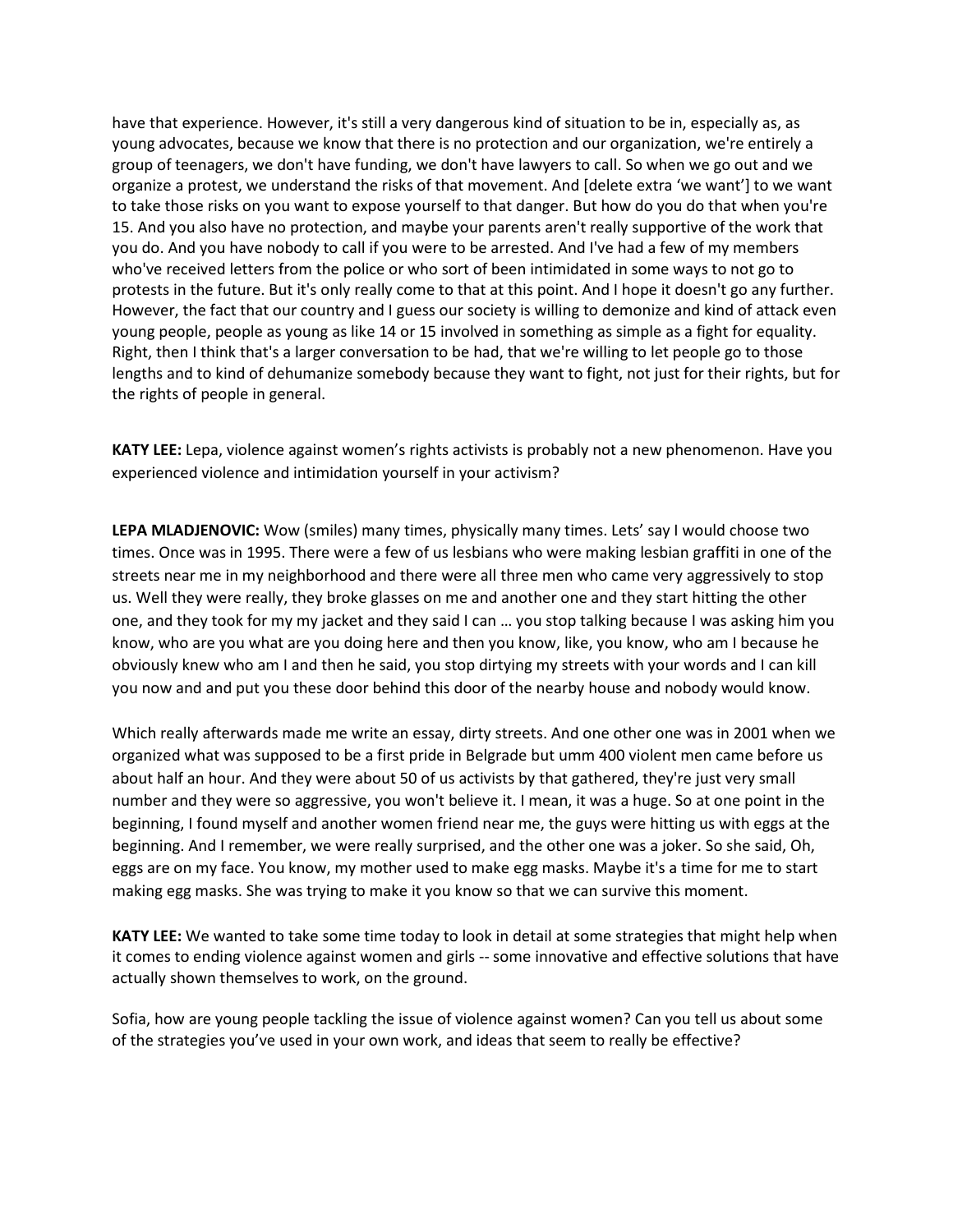have that experience. However, it's still a very dangerous kind of situation to be in, especially as, as young advocates, because we know that there is no protection and our organization, we're entirely a group of teenagers, we don't have funding, we don't have lawyers to call. So when we go out and we organize a protest, we understand the risks of that movement. And [delete extra 'we want'] to we want to take those risks on you want to expose yourself to that danger. But how do you do that when you're 15. And you also have no protection, and maybe your parents aren't really supportive of the work that you do. And you have nobody to call if you were to be arrested. And I've had a few of my members who've received letters from the police or who sort of been intimidated in some ways to not go to protests in the future. But it's only really come to that at this point. And I hope it doesn't go any further. However, the fact that our country and I guess our society is willing to demonize and kind of attack even young people, people as young as like 14 or 15 involved in something as simple as a fight for equality. Right, then I think that's a larger conversation to be had, that we're willing to let people go to those lengths and to kind of dehumanize somebody because they want to fight, not just for their rights, but for the rights of people in general.

**KATY LEE:** Lepa, violence against women's rights activists is probably not a new phenomenon. Have you experienced violence and intimidation yourself in your activism?

**LEPA MLADJENOVIC:** Wow (smiles) many times, physically many times. Lets' say I would choose two times. Once was in 1995. There were a few of us lesbians who were making lesbian graffiti in one of the streets near me in my neighborhood and there were all three men who came very aggressively to stop us. Well they were really, they broke glasses on me and another one and they start hitting the other one, and they took for my my jacket and they said I can … you stop talking because I was asking him you know, who are you what are you doing here and then you know, like, you know, who am I because he obviously knew who am I and then he said, you stop dirtying my streets with your words and I can kill you now and and put you these door behind this door of the nearby house and nobody would know.

Which really afterwards made me write an essay, dirty streets. And one other one was in 2001 when we organized what was supposed to be a first pride in Belgrade but umm 400 violent men came before us about half an hour. And they were about 50 of us activists by that gathered, they're just very small number and they were so aggressive, you won't believe it. I mean, it was a huge. So at one point in the beginning, I found myself and another women friend near me, the guys were hitting us with eggs at the beginning. And I remember, we were really surprised, and the other one was a joker. So she said, Oh, eggs are on my face. You know, my mother used to make egg masks. Maybe it's a time for me to start making egg masks. She was trying to make it you know so that we can survive this moment.

**KATY LEE:** We wanted to take some time today to look in detail at some strategies that might help when it comes to ending violence against women and girls -- some innovative and effective solutions that have actually shown themselves to work, on the ground.

Sofia, how are young people tackling the issue of violence against women? Can you tell us about some of the strategies you've used in your own work, and ideas that seem to really be effective?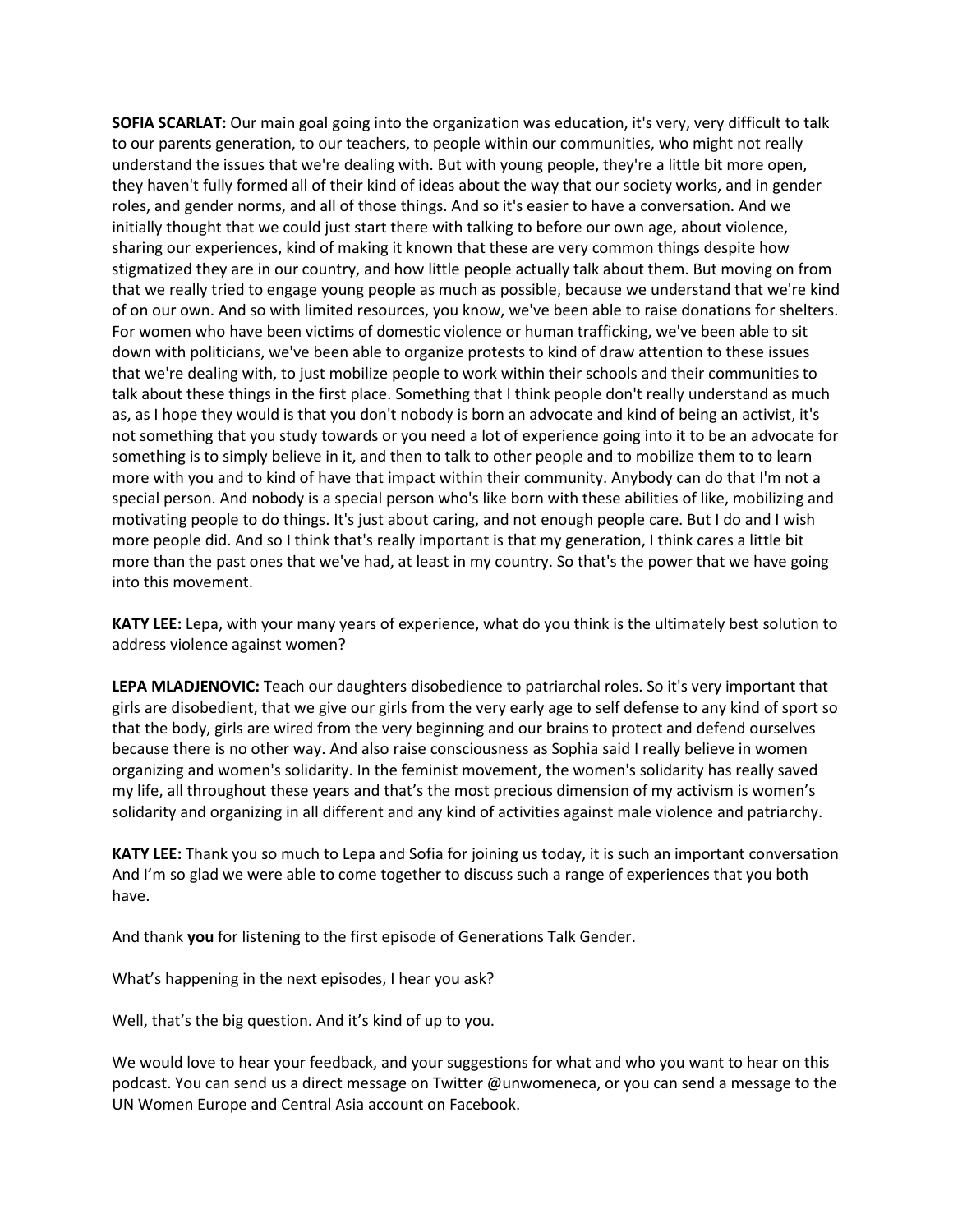**SOFIA SCARLAT:** Our main goal going into the organization was education, it's very, very difficult to talk to our parents generation, to our teachers, to people within our communities, who might not really understand the issues that we're dealing with. But with young people, they're a little bit more open, they haven't fully formed all of their kind of ideas about the way that our society works, and in gender roles, and gender norms, and all of those things. And so it's easier to have a conversation. And we initially thought that we could just start there with talking to before our own age, about violence, sharing our experiences, kind of making it known that these are very common things despite how stigmatized they are in our country, and how little people actually talk about them. But moving on from that we really tried to engage young people as much as possible, because we understand that we're kind of on our own. And so with limited resources, you know, we've been able to raise donations for shelters. For women who have been victims of domestic violence or human trafficking, we've been able to sit down with politicians, we've been able to organize protests to kind of draw attention to these issues that we're dealing with, to just mobilize people to work within their schools and their communities to talk about these things in the first place. Something that I think people don't really understand as much as, as I hope they would is that you don't nobody is born an advocate and kind of being an activist, it's not something that you study towards or you need a lot of experience going into it to be an advocate for something is to simply believe in it, and then to talk to other people and to mobilize them to to learn more with you and to kind of have that impact within their community. Anybody can do that I'm not a special person. And nobody is a special person who's like born with these abilities of like, mobilizing and motivating people to do things. It's just about caring, and not enough people care. But I do and I wish more people did. And so I think that's really important is that my generation, I think cares a little bit more than the past ones that we've had, at least in my country. So that's the power that we have going into this movement.

**KATY LEE:** Lepa, with your many years of experience, what do you think is the ultimately best solution to address violence against women?

**LEPA MLADJENOVIC:** Teach our daughters disobedience to patriarchal roles. So it's very important that girls are disobedient, that we give our girls from the very early age to self defense to any kind of sport so that the body, girls are wired from the very beginning and our brains to protect and defend ourselves because there is no other way. And also raise consciousness as Sophia said I really believe in women organizing and women's solidarity. In the feminist movement, the women's solidarity has really saved my life, all throughout these years and that's the most precious dimension of my activism is women's solidarity and organizing in all different and any kind of activities against male violence and patriarchy.

**KATY LEE:** Thank you so much to Lepa and Sofia for joining us today, it is such an important conversation And I'm so glad we were able to come together to discuss such a range of experiences that you both have.

And thank **you** for listening to the first episode of Generations Talk Gender.

What's happening in the next episodes, I hear you ask?

Well, that's the big question. And it's kind of up to you.

We would love to hear your feedback, and your suggestions for what and who you want to hear on this podcast. You can send us a direct message on Twitter @unwomeneca, or you can send a message to the UN Women Europe and Central Asia account on Facebook.